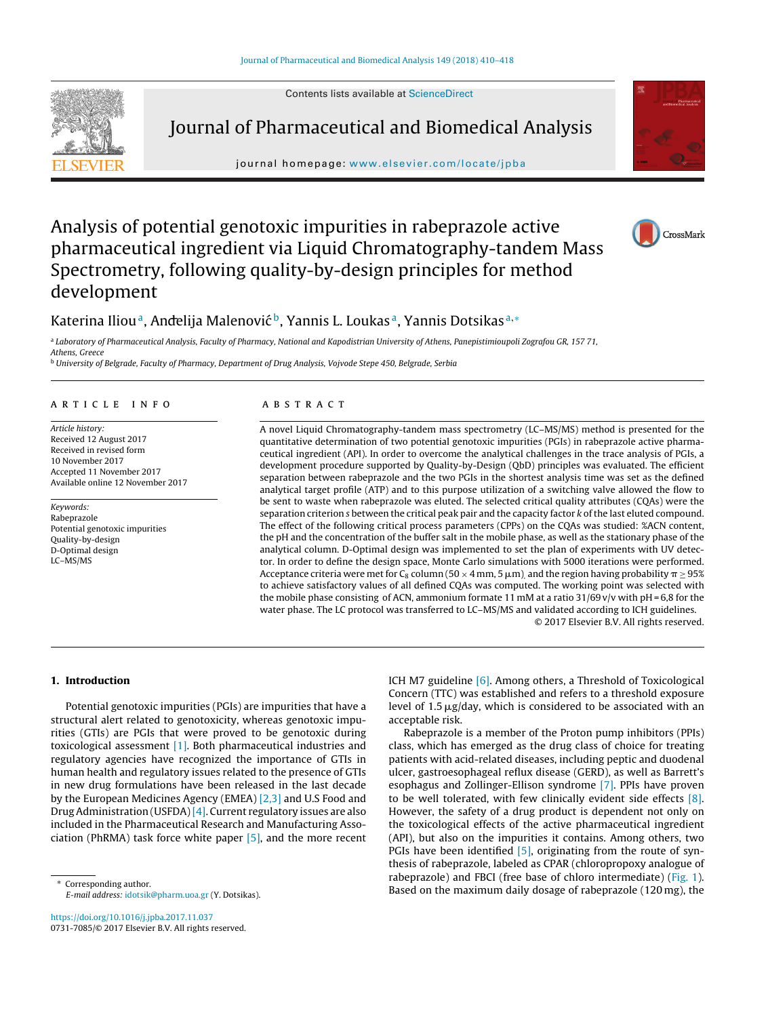Contents lists available at [ScienceDirect](http://www.sciencedirect.com/science/journal/07317085)



Journal of Pharmaceutical and Biomedical Analysis

journal homepage: [www.elsevier.com/locate/jpba](http://www.elsevier.com/locate/jpba)



## Analysis of potential genotoxic impurities in rabeprazole active pharmaceutical ingredient via Liquid Chromatography-tandem Mass Spectrometry, following quality-by-design principles for method development



### Katerina Iliou<sup>a</sup>, Andelija Malenović<sup>b</sup>, Yannis L. Loukas<sup>a</sup>, Yannis Dotsikas<sup>a,</sup>\*

a Laboratory of Pharmaceutical Analysis, Faculty of Pharmacy, National and Kapodistrian University of Athens, Panepistimioupoli Zografou GR, 157 71, Athens, Greece

<sup>b</sup> University of Belgrade, Faculty of Pharmacy, Department of Drug Analysis, Vojvode Stepe 450, Belgrade, Serbia

#### a r t i c l e i n f o

Article history: Received 12 August 2017 Received in revised form 10 November 2017 Accepted 11 November 2017 Available online 12 November 2017

Keywords: Rabeprazole Potential genotoxic impurities Quality-by-design D-Optimal design LC–MS/MS

#### A B S T R A C T

A novel Liquid Chromatography-tandem mass spectrometry (LC–MS/MS) method is presented for the quantitative determination of two potential genotoxic impurities (PGIs) in rabeprazole active pharmaceutical ingredient (API). In order to overcome the analytical challenges in the trace analysis of PGIs, a development procedure supported by Quality-by-Design (QbD) principles was evaluated. The efficient separation between rabeprazole and the two PGIs in the shortest analysis time was set as the defined analytical target profile (ATP) and to this purpose utilization of a switching valve allowed the flow to be sent to waste when rabeprazole was eluted. The selected critical quality attributes (CQAs) were the separation criterion s between the critical peak pair and the capacity factor k of the last eluted compound. The effect of the following critical process parameters (CPPs) on the CQAs was studied: %ACN content, the pH and the concentration of the buffer salt in the mobile phase, as well as the stationary phase of the analytical column. D-Optimal design was implemented to set the plan of experiments with UV detector. In order to define the design space, Monte Carlo simulations with 5000 iterations were performed. Acceptance criteria were met for C<sub>8</sub> column (50  $\times$  4 mm, 5  $\mu$ m)<sub>,</sub> and the region having probability  $\pi$   $\geq$  95% to achieve satisfactory values of all defined CQAs was computed. The working point was selected with the mobile phase consisting of ACN, ammonium formate 11 mM at a ratio 31/69 v/v with pH = 6,8 for the water phase. The LC protocol was transferred to LC–MS/MS and validated according to ICH guidelines.

© 2017 Elsevier B.V. All rights reserved.

#### **1. Introduction**

Potential genotoxic impurities (PGIs) are impurities that have a structural alert related to genotoxicity, whereas genotoxic impurities (GTIs) are PGIs that were proved to be genotoxic during toxicological assessment [\[1\].](#page--1-0) Both pharmaceutical industries and regulatory agencies have recognized the importance of GTIs in human health and regulatory issues related to the presence of GTIs in new drug formulations have been released in the last decade by the European Medicines Agency (EMEA) [\[2,3\]](#page--1-0) and U.S Food and Drug Administration (USFDA)[\[4\].](#page--1-0) Current regulatory issues are also included in the Pharmaceutical Research and Manufacturing Association (PhRMA) task force white paper  $[5]$ , and the more recent

∗ Corresponding author. E-mail address: [idotsik@pharm.uoa.gr](mailto:idotsik@pharm.uoa.gr) (Y. Dotsikas).

<https://doi.org/10.1016/j.jpba.2017.11.037> 0731-7085/© 2017 Elsevier B.V. All rights reserved.

ICH M7 guideline [\[6\].](#page--1-0) Among others, a Threshold of Toxicological Concern (TTC) was established and refers to a threshold exposure level of 1.5  $\mu$ g/day, which is considered to be associated with an acceptable risk.

Rabeprazole is a member of the Proton pump inhibitors (PPIs) class, which has emerged as the drug class of choice for treating patients with acid-related diseases, including peptic and duodenal ulcer, gastroesophageal reflux disease (GERD), as well as Barrett's esophagus and Zollinger-Ellison syndrome [\[7\].](#page--1-0) PPIs have proven to be well tolerated, with few clinically evident side effects  $[8]$ . However, the safety of a drug product is dependent not only on the toxicological effects of the active pharmaceutical ingredient (API), but also on the impurities it contains. Among others, two PGIs have been identified [\[5\],](#page--1-0) originating from the route of synthesis of rabeprazole, labeled as CPAR (chloropropoxy analogue of rabeprazole) and FBCI (free base of chloro intermediate) [\(Fig.](#page-1-0) 1). Based on the maximum daily dosage of rabeprazole (120 mg), the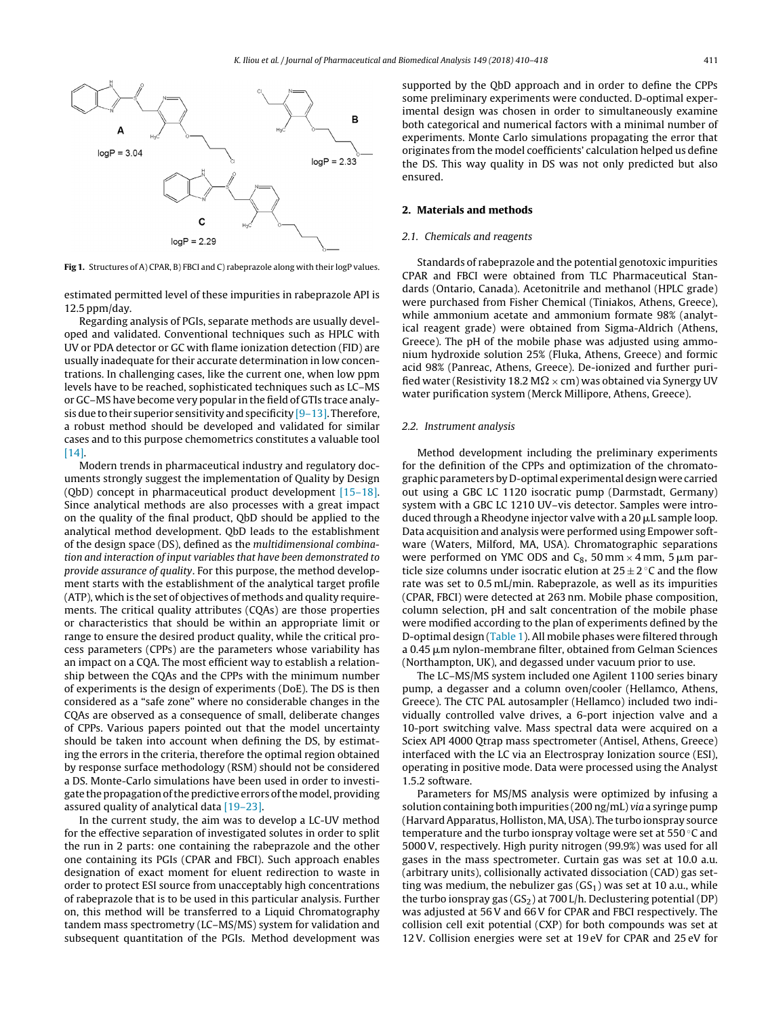<span id="page-1-0"></span>

**Fig 1.** Structures of A) CPAR, B) FBCI and C) rabeprazole along with their logP values.

estimated permitted level of these impurities in rabeprazole API is 12.5 ppm/day.

Regarding analysis of PGIs, separate methods are usually developed and validated. Conventional techniques such as HPLC with UV or PDA detector or GC with flame ionization detection (FID) are usually inadequate for their accurate determination in low concentrations. In challenging cases, like the current one, when low ppm levels have to be reached, sophisticated techniques such as LC–MS or GC–MS have become very popular in the field of GTIs trace analysis due to their superior sensitivity and specificity  $[9-13]$ . Therefore, a robust method should be developed and validated for similar cases and to this purpose chemometrics constitutes a valuable tool  $[14]$ 

Modern trends in pharmaceutical industry and regulatory documents strongly suggest the implementation of Quality by Design (QbD) concept in pharmaceutical product development [\[15–18\].](#page--1-0) Since analytical methods are also processes with a great impact on the quality of the final product, QbD should be applied to the analytical method development. QbD leads to the establishment of the design space (DS), defined as the multidimensional combination and interaction of input variables that have been demonstrated to provide assurance of quality. For this purpose, the method development starts with the establishment of the analytical target profile (ATP), which is the set of objectives of methods and quality requirements. The critical quality attributes (CQAs) are those properties or characteristics that should be within an appropriate limit or range to ensure the desired product quality, while the critical process parameters (CPPs) are the parameters whose variability has an impact on a CQA. The most efficient way to establish a relationship between the CQAs and the CPPs with the minimum number of experiments is the design of experiments (DoE). The DS is then considered as a "safe zone" where no considerable changes in the CQAs are observed as a consequence of small, deliberate changes of CPPs. Various papers pointed out that the model uncertainty should be taken into account when defining the DS, by estimating the errors in the criteria, therefore the optimal region obtained by response surface methodology (RSM) should not be considered a DS. Monte-Carlo simulations have been used in order to investigate the propagation of the predictive errors of the model, providing assured quality of analytical data [\[19–23\].](#page--1-0)

In the current study, the aim was to develop a LC-UV method for the effective separation of investigated solutes in order to split the run in 2 parts: one containing the rabeprazole and the other one containing its PGIs (CPAR and FBCI). Such approach enables designation of exact moment for eluent redirection to waste in order to protect ESI source from unacceptably high concentrations of rabeprazole that is to be used in this particular analysis. Further on, this method will be transferred to a Liquid Chromatography tandem mass spectrometry (LC–MS/MS) system for validation and subsequent quantitation of the PGIs. Method development was

supported by the QbD approach and in order to define the CPPs some preliminary experiments were conducted. D-optimal experimental design was chosen in order to simultaneously examine both categorical and numerical factors with a minimal number of experiments. Monte Carlo simulations propagating the error that originates from the model coefficients' calculation helped us define the DS. This way quality in DS was not only predicted but also ensured.

#### **2. Materials and methods**

#### 2.1. Chemicals and reagents

Standards of rabeprazole and the potential genotoxic impurities CPAR and FBCI were obtained from TLC Pharmaceutical Standards (Ontario, Canada). Acetonitrile and methanol (HPLC grade) were purchased from Fisher Chemical (Tiniakos, Athens, Greece), while ammonium acetate and ammonium formate 98% (analytical reagent grade) were obtained from Sigma-Aldrich (Athens, Greece). The pH of the mobile phase was adjusted using ammonium hydroxide solution 25% (Fluka, Athens, Greece) and formic acid 98% (Panreac, Athens, Greece). De-ionized and further purified water (Resistivity 18.2 M $\Omega$   $\times$  cm) was obtained via Synergy UV water purification system (Merck Millipore, Athens, Greece).

#### 2.2. Instrument analysis

Method development including the preliminary experiments for the definition of the CPPs and optimization of the chromatographic parameters by D-optimal experimental design were carried out using a GBC LC 1120 isocratic pump (Darmstadt, Germany) system with a GBC LC 1210 UV–vis detector. Samples were introduced through a Rheodyne injector valve with a 20  $\mu$ L sample loop. Data acquisition and analysis were performed using Empower software (Waters, Milford, MA, USA). Chromatographic separations were performed on YMC ODS and  $C_8$ , 50 mm  $\times$  4 mm, 5  $\mu$ m particle size columns under isocratic elution at  $25 \pm 2$  °C and the flow rate was set to 0.5 mL/min. Rabeprazole, as well as its impurities (CPAR, FBCI) were detected at 263 nm. Mobile phase composition, column selection, pH and salt concentration of the mobile phase were modified according to the plan of experiments defined by the D-optimal design [\(Table](#page--1-0) 1). All mobile phases were filtered through a 0.45 µm nylon-membrane filter, obtained from Gelman Sciences (Northampton, UK), and degassed under vacuum prior to use.

The LC–MS/MS system included one Agilent 1100 series binary pump, a degasser and a column oven/cooler (Hellamco, Athens, Greece). The CTC PAL autosampler (Hellamco) included two individually controlled valve drives, a 6-port injection valve and a 10-port switching valve. Mass spectral data were acquired on a Sciex API 4000 Qtrap mass spectrometer (Antisel, Athens, Greece) interfaced with the LC via an Electrospray Ionization source (ESI), operating in positive mode. Data were processed using the Analyst 1.5.2 software.

Parameters for MS/MS analysis were optimized by infusing a solution containing both impurities (200 ng/mL) via a syringe pump (Harvard Apparatus, Holliston, MA, USA). The turbo ionspray source temperature and the turbo ionspray voltage were set at 550 ◦C and 5000V, respectively. High purity nitrogen (99.9%) was used for all gases in the mass spectrometer. Curtain gas was set at 10.0 a.u. (arbitrary units), collisionally activated dissociation (CAD) gas setting was medium, the nebulizer gas  $(GS<sub>1</sub>)$  was set at 10 a.u., while the turbo ionspray gas  $(GS_2)$  at 700 L/h. Declustering potential (DP) was adjusted at 56V and 66V for CPAR and FBCI respectively. The collision cell exit potential (CXP) for both compounds was set at 12V. Collision energies were set at 19 eV for CPAR and 25 eV for